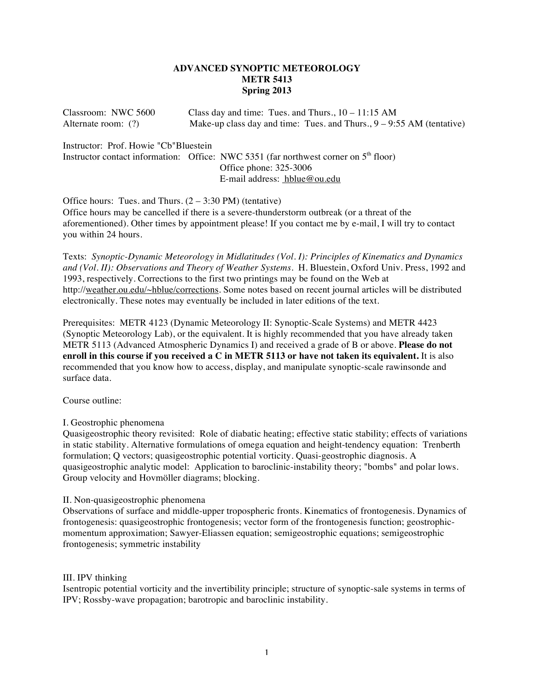## **ADVANCED SYNOPTIC METEOROLOGY METR 5413 Spring 2013**

Classroom: NWC 5600 Class day and time: Tues. and Thurs., 10 – 11:15 AM Alternate room: (?) Make-up class day and time: Tues. and Thurs.,  $9 - 9:55$  AM (tentative) Instructor: Prof. Howie "Cb"Bluestein

Instructor contact information: Office: NWC 5351 (far northwest corner on  $5<sup>th</sup>$  floor) Office phone: 325-3006 E-mail address: hblue@ou.edu

Office hours: Tues. and Thurs.  $(2 – 3:30 PM)$  (tentative) Office hours may be cancelled if there is a severe-thunderstorm outbreak (or a threat of the aforementioned). Other times by appointment please! If you contact me by e-mail, I will try to contact you within 24 hours.

Texts: *Synoptic-Dynamic Meteorology in Midlatitudes (Vol. I): Principles of Kinematics and Dynamics and (Vol. II): Observations and Theory of Weather Systems.* H. Bluestein, Oxford Univ. Press, 1992 and 1993, respectively. Corrections to the first two printings may be found on the Web at http://weather.ou.edu/~hblue/corrections. Some notes based on recent journal articles will be distributed electronically. These notes may eventually be included in later editions of the text.

Prerequisites: METR 4123 (Dynamic Meteorology II: Synoptic-Scale Systems) and METR 4423 (Synoptic Meteorology Lab), or the equivalent. It is highly recommended that you have already taken METR 5113 (Advanced Atmospheric Dynamics I) and received a grade of B or above. **Please do not enroll in this course if you received a C in METR 5113 or have not taken its equivalent.** It is also recommended that you know how to access, display, and manipulate synoptic-scale rawinsonde and surface data.

Course outline:

I. Geostrophic phenomena

Quasigeostrophic theory revisited: Role of diabatic heating; effective static stability; effects of variations in static stability. Alternative formulations of omega equation and height-tendency equation: Trenberth formulation; Q vectors; quasigeostrophic potential vorticity. Quasi-geostrophic diagnosis. A quasigeostrophic analytic model: Application to baroclinic-instability theory; "bombs" and polar lows. Group velocity and Hovmöller diagrams; blocking.

## II. Non-quasigeostrophic phenomena

Observations of surface and middle-upper tropospheric fronts. Kinematics of frontogenesis. Dynamics of frontogenesis: quasigeostrophic frontogenesis; vector form of the frontogenesis function; geostrophicmomentum approximation; Sawyer-Eliassen equation; semigeostrophic equations; semigeostrophic frontogenesis; symmetric instability

## III. IPV thinking

Isentropic potential vorticity and the invertibility principle; structure of synoptic-sale systems in terms of IPV; Rossby-wave propagation; barotropic and baroclinic instability.